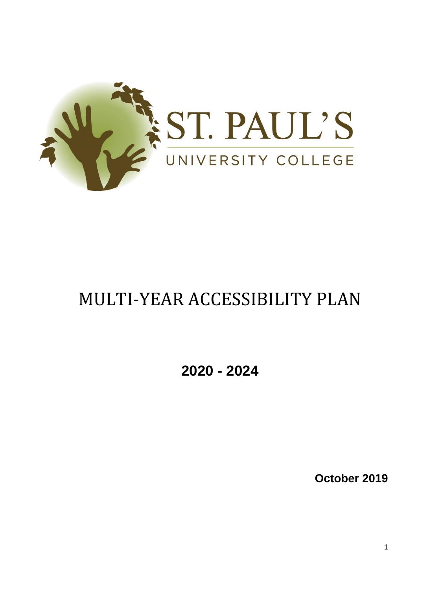

# MULTI-YEAR ACCESSIBILITY PLAN

**2020 - 2024** 

**October 2019**

1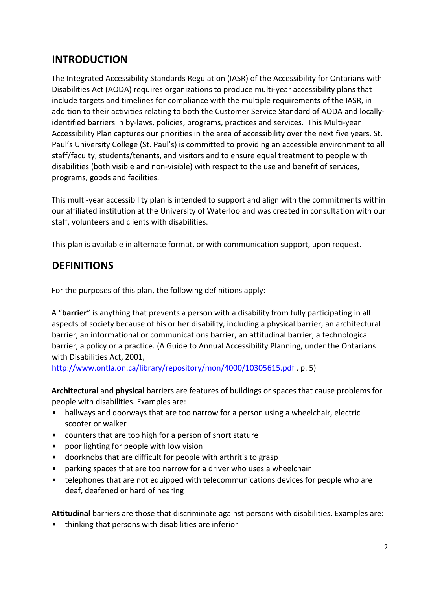# **INTRODUCTION**

The Integrated Accessibility Standards Regulation (IASR) of the Accessibility for Ontarians with Disabilities Act (AODA) requires organizations to produce multi-year accessibility plans that include targets and timelines for compliance with the multiple requirements of the IASR, in addition to their activities relating to both the Customer Service Standard of AODA and locallyidentified barriers in by-laws, policies, programs, practices and services. This Multi-year Accessibility Plan captures our priorities in the area of accessibility over the next five years. St. Paul's University College (St. Paul's) is committed to providing an accessible environment to all staff/faculty, students/tenants, and visitors and to ensure equal treatment to people with disabilities (both visible and non-visible) with respect to the use and benefit of services, programs, goods and facilities.

This multi-year accessibility plan is intended to support and align with the commitments within our affiliated institution at the University of Waterloo and was created in consultation with our staff, volunteers and clients with disabilities.

This plan is available in alternate format, or with communication support, upon request.

### **DEFINITIONS**

For the purposes of this plan, the following definitions apply:

A "**barrier**" is anything that prevents a person with a disability from fully participating in all aspects of society because of his or her disability, including a physical barrier, an architectural barrier, an informational or communications barrier, an attitudinal barrier, a technological barrier, a policy or a practice. (A Guide to Annual Accessibility Planning, under the Ontarians with Disabilities Act, 2001,

<http://www.ontla.on.ca/library/repository/mon/4000/10305615.pdf> , p. 5)

**Architectural** and **physical** barriers are features of buildings or spaces that cause problems for people with disabilities. Examples are:

- hallways and doorways that are too narrow for a person using a wheelchair, electric scooter or walker
- counters that are too high for a person of short stature
- poor lighting for people with low vision
- doorknobs that are difficult for people with arthritis to grasp
- parking spaces that are too narrow for a driver who uses a wheelchair
- telephones that are not equipped with telecommunications devices for people who are deaf, deafened or hard of hearing

**Attitudinal** barriers are those that discriminate against persons with disabilities. Examples are:

• thinking that persons with disabilities are inferior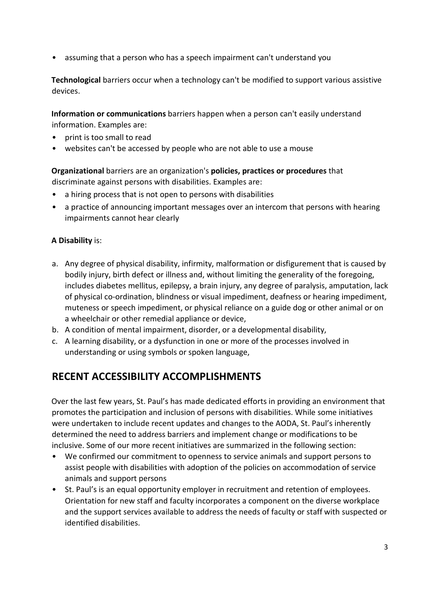• assuming that a person who has a speech impairment can't understand you

**Technological** barriers occur when a technology can't be modified to support various assistive devices.

**Information or communications** barriers happen when a person can't easily understand information. Examples are:

- print is too small to read
- websites can't be accessed by people who are not able to use a mouse

**Organizational** barriers are an organization's **policies, practices or procedures** that discriminate against persons with disabilities. Examples are:

- a hiring process that is not open to persons with disabilities
- a practice of announcing important messages over an intercom that persons with hearing impairments cannot hear clearly

#### **A Disability** is:

- a. Any degree of physical disability, infirmity, malformation or disfigurement that is caused by bodily injury, birth defect or illness and, without limiting the generality of the foregoing, includes diabetes mellitus, epilepsy, a brain injury, any degree of paralysis, amputation, lack of physical co-ordination, blindness or visual impediment, deafness or hearing impediment, muteness or speech impediment, or physical reliance on a guide dog or other animal or on a wheelchair or other remedial appliance or device,
- b. A condition of mental impairment, disorder, or a developmental disability,
- c. A learning disability, or a dysfunction in one or more of the processes involved in understanding or using symbols or spoken language,

#### **RECENT ACCESSIBILITY ACCOMPLISHMENTS**

Over the last few years, St. Paul's has made dedicated efforts in providing an environment that promotes the participation and inclusion of persons with disabilities. While some initiatives were undertaken to include recent updates and changes to the AODA, St. Paul's inherently determined the need to address barriers and implement change or modifications to be inclusive. Some of our more recent initiatives are summarized in the following section:

- We confirmed our commitment to openness to service animals and support persons to assist people with disabilities with adoption of the policies on accommodation of service animals and support persons
- St. Paul's is an equal opportunity employer in recruitment and retention of employees. Orientation for new staff and faculty incorporates a component on the diverse workplace and the support services available to address the needs of faculty or staff with suspected or identified disabilities.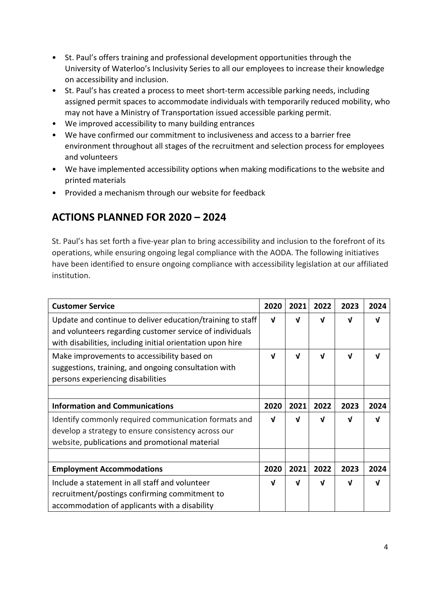- St. Paul's offers training and professional development opportunities through the University of Waterloo's Inclusivity Series to all our employees to increase their knowledge on accessibility and inclusion.
- St. Paul's has created a process to meet short-term accessible parking needs, including assigned permit spaces to accommodate individuals with temporarily reduced mobility, who may not have a Ministry of Transportation issued accessible parking permit.
- We improved accessibility to many building entrances
- We have confirmed our commitment to inclusiveness and access to a barrier free environment throughout all stages of the recruitment and selection process for employees and volunteers
- We have implemented accessibility options when making modifications to the website and printed materials
- Provided a mechanism through our website for feedback

### **ACTIONS PLANNED FOR 2020 – 2024**

St. Paul's has set forth a five-year plan to bring accessibility and inclusion to the forefront of its operations, while ensuring ongoing legal compliance with the AODA. The following initiatives have been identified to ensure ongoing compliance with accessibility legislation at our affiliated institution.

| <b>Customer Service</b>                                                                                                                                                              | 2020 | 2021         | 2022     | 2023 | 2024 |
|--------------------------------------------------------------------------------------------------------------------------------------------------------------------------------------|------|--------------|----------|------|------|
| Update and continue to deliver education/training to staff<br>and volunteers regarding customer service of individuals<br>with disabilities, including initial orientation upon hire | V    | V            | V        | V    | ν    |
| Make improvements to accessibility based on<br>suggestions, training, and ongoing consultation with<br>persons experiencing disabilities                                             | J    | νI           | <b>V</b> | J    | J    |
| <b>Information and Communications</b>                                                                                                                                                | 2020 | 2021         | 2022     | 2023 | 2024 |
| Identify commonly required communication formats and<br>develop a strategy to ensure consistency across our<br>website, publications and promotional material                        | ν    | V            | νI       | J    | νI   |
|                                                                                                                                                                                      |      |              |          |      |      |
| <b>Employment Accommodations</b>                                                                                                                                                     | 2020 | 2021         | 2022     | 2023 | 2024 |
| Include a statement in all staff and volunteer<br>recruitment/postings confirming commitment to<br>accommodation of applicants with a disability                                     | V    | $\mathbf{v}$ | V        | V    | V    |